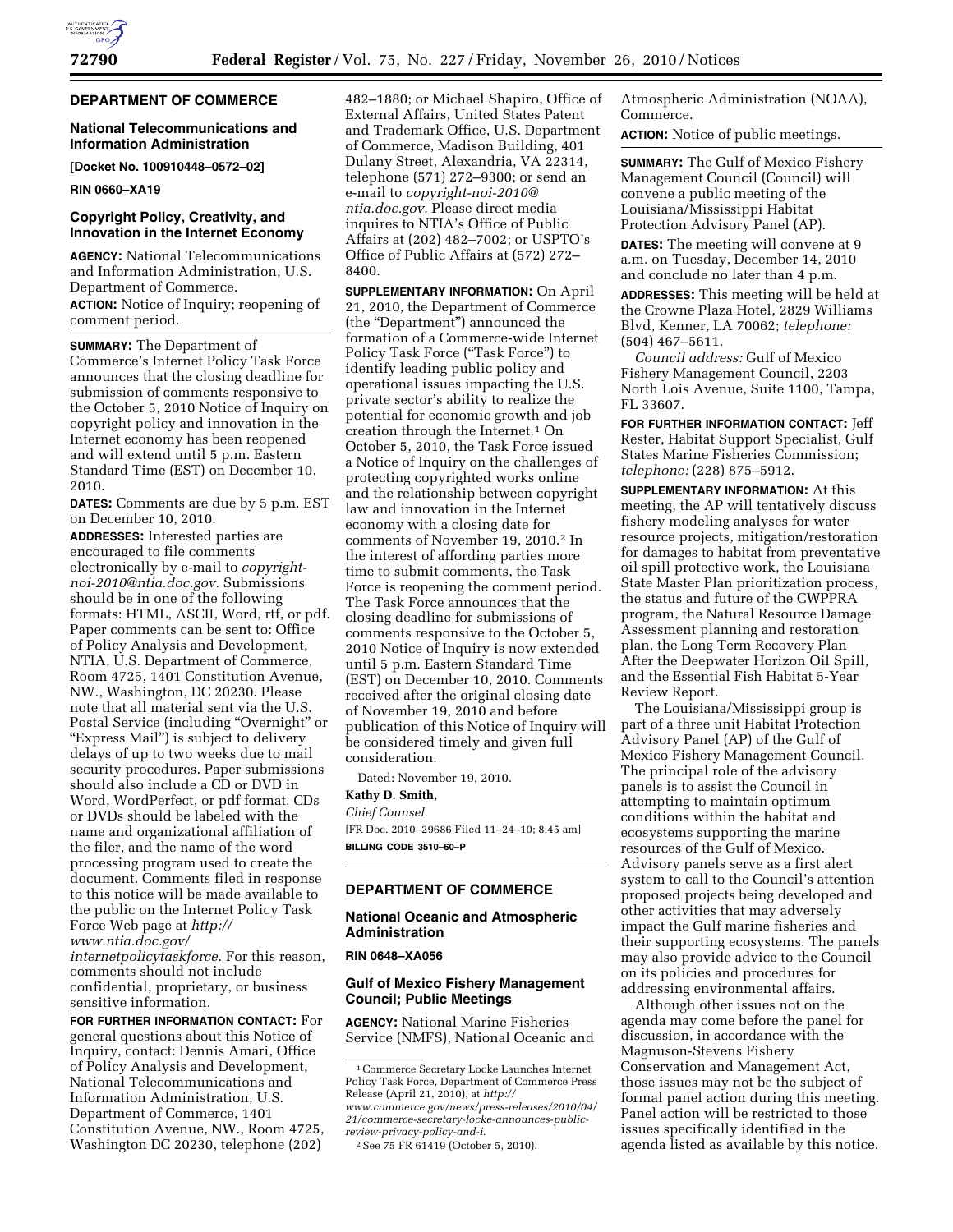## **DEPARTMENT OF COMMERCE**

## **National Telecommunications and Information Administration**

**[Docket No. 100910448–0572–02]** 

**RIN 0660–XA19** 

## **Copyright Policy, Creativity, and Innovation in the Internet Economy**

**AGENCY:** National Telecommunications and Information Administration, U.S. Department of Commerce.

**ACTION:** Notice of Inquiry; reopening of comment period.

**SUMMARY:** The Department of Commerce's Internet Policy Task Force announces that the closing deadline for submission of comments responsive to the October 5, 2010 Notice of Inquiry on copyright policy and innovation in the Internet economy has been reopened and will extend until 5 p.m. Eastern Standard Time (EST) on December 10, 2010.

**DATES:** Comments are due by 5 p.m. EST on December 10, 2010.

**ADDRESSES:** Interested parties are encouraged to file comments electronically by e-mail to *[copyright](mailto:copyright-noi-2010@ntia.doc.gov)[noi-2010@ntia.doc.gov.](mailto:copyright-noi-2010@ntia.doc.gov)* Submissions should be in one of the following formats: HTML, ASCII, Word, rtf, or pdf. Paper comments can be sent to: Office of Policy Analysis and Development, NTIA, U.S. Department of Commerce, Room 4725, 1401 Constitution Avenue, NW., Washington, DC 20230. Please note that all material sent via the U.S. Postal Service (including "Overnight" or "Express Mail") is subject to delivery delays of up to two weeks due to mail security procedures. Paper submissions should also include a CD or DVD in Word, WordPerfect, or pdf format. CDs or DVDs should be labeled with the name and organizational affiliation of the filer, and the name of the word processing program used to create the document. Comments filed in response to this notice will be made available to the public on the Internet Policy Task Force Web page at *[http://](http://www.ntia.doc.gov/internetpolicytaskforce) [www.ntia.doc.gov/](http://www.ntia.doc.gov/internetpolicytaskforce)* 

*[internetpolicytaskforce.](http://www.ntia.doc.gov/internetpolicytaskforce)* For this reason, comments should not include confidential, proprietary, or business sensitive information.

**FOR FURTHER INFORMATION CONTACT:** For general questions about this Notice of Inquiry, contact: Dennis Amari, Office of Policy Analysis and Development, National Telecommunications and Information Administration, U.S. Department of Commerce, 1401 Constitution Avenue, NW., Room 4725, Washington DC 20230, telephone (202)

482–1880; or Michael Shapiro, Office of External Affairs, United States Patent and Trademark Office, U.S. Department of Commerce, Madison Building, 401 Dulany Street, Alexandria, VA 22314, telephone (571) 272–9300; or send an e-mail to *[copyright-noi-2010@](mailto:copyright-noi-2010@ntia.doc.gov) [ntia.doc.gov.](mailto:copyright-noi-2010@ntia.doc.gov)* Please direct media inquires to NTIA's Office of Public Affairs at (202) 482–7002; or USPTO's Office of Public Affairs at (572) 272– 8400.

**SUPPLEMENTARY INFORMATION:** On April 21, 2010, the Department of Commerce (the ''Department'') announced the formation of a Commerce-wide Internet Policy Task Force ("Task Force") to identify leading public policy and operational issues impacting the U.S. private sector's ability to realize the potential for economic growth and job creation through the Internet.1 On October 5, 2010, the Task Force issued a Notice of Inquiry on the challenges of protecting copyrighted works online and the relationship between copyright law and innovation in the Internet economy with a closing date for comments of November 19, 2010.2 In the interest of affording parties more time to submit comments, the Task Force is reopening the comment period. The Task Force announces that the closing deadline for submissions of comments responsive to the October 5, 2010 Notice of Inquiry is now extended until 5 p.m. Eastern Standard Time (EST) on December 10, 2010. Comments received after the original closing date of November 19, 2010 and before publication of this Notice of Inquiry will be considered timely and given full consideration.

Dated: November 19, 2010. **Kathy D. Smith,** 

## *Chief Counsel.*

[FR Doc. 2010–29686 Filed 11–24–10; 8:45 am] **BILLING CODE 3510–60–P** 

# **DEPARTMENT OF COMMERCE**

#### **National Oceanic and Atmospheric Administration**

#### **RIN 0648–XA056**

## **Gulf of Mexico Fishery Management Council; Public Meetings**

**AGENCY:** National Marine Fisheries Service (NMFS), National Oceanic and Atmospheric Administration (NOAA), Commerce.

**ACTION:** Notice of public meetings.

**SUMMARY:** The Gulf of Mexico Fishery Management Council (Council) will convene a public meeting of the Louisiana/Mississippi Habitat Protection Advisory Panel (AP).

**DATES:** The meeting will convene at 9 a.m. on Tuesday, December 14, 2010 and conclude no later than 4 p.m.

**ADDRESSES:** This meeting will be held at the Crowne Plaza Hotel, 2829 Williams Blvd, Kenner, LA 70062; *telephone:*  (504) 467–5611.

*Council address:* Gulf of Mexico Fishery Management Council, 2203 North Lois Avenue, Suite 1100, Tampa, FL 33607.

**FOR FURTHER INFORMATION CONTACT:** Jeff Rester, Habitat Support Specialist, Gulf States Marine Fisheries Commission; *telephone:* (228) 875–5912.

**SUPPLEMENTARY INFORMATION:** At this meeting, the AP will tentatively discuss fishery modeling analyses for water resource projects, mitigation/restoration for damages to habitat from preventative oil spill protective work, the Louisiana State Master Plan prioritization process, the status and future of the CWPPRA program, the Natural Resource Damage Assessment planning and restoration plan, the Long Term Recovery Plan After the Deepwater Horizon Oil Spill, and the Essential Fish Habitat 5-Year Review Report.

The Louisiana/Mississippi group is part of a three unit Habitat Protection Advisory Panel (AP) of the Gulf of Mexico Fishery Management Council. The principal role of the advisory panels is to assist the Council in attempting to maintain optimum conditions within the habitat and ecosystems supporting the marine resources of the Gulf of Mexico. Advisory panels serve as a first alert system to call to the Council's attention proposed projects being developed and other activities that may adversely impact the Gulf marine fisheries and their supporting ecosystems. The panels may also provide advice to the Council on its policies and procedures for addressing environmental affairs.

Although other issues not on the agenda may come before the panel for discussion, in accordance with the Magnuson-Stevens Fishery Conservation and Management Act, those issues may not be the subject of formal panel action during this meeting. Panel action will be restricted to those issues specifically identified in the agenda listed as available by this notice.

<sup>1</sup>Commerce Secretary Locke Launches Internet Policy Task Force, Department of Commerce Press Release (April 21, 2010), at *[http://](http://www.commerce.gov/news/press-releases/2010/04/21/commerce-secretary-locke-announces-public-review-privacy-policy-and-i)* 

*[www.commerce.gov/news/press-releases/2010/04/](http://www.commerce.gov/news/press-releases/2010/04/21/commerce-secretary-locke-announces-public-review-privacy-policy-and-i)  [21/commerce-secretary-locke-announces-public](http://www.commerce.gov/news/press-releases/2010/04/21/commerce-secretary-locke-announces-public-review-privacy-policy-and-i)[review-privacy-policy-and-i.](http://www.commerce.gov/news/press-releases/2010/04/21/commerce-secretary-locke-announces-public-review-privacy-policy-and-i)* 

<sup>2</sup>See 75 FR 61419 (October 5, 2010).